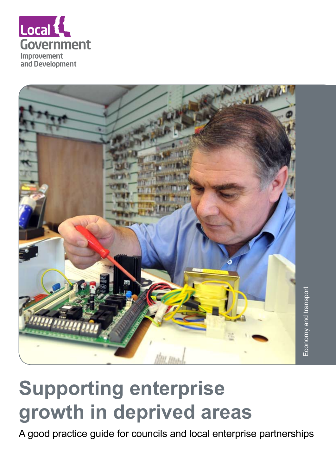



# **Supporting enterprise growth in deprived areas**

A good practice guide for councils and local enterprise partnerships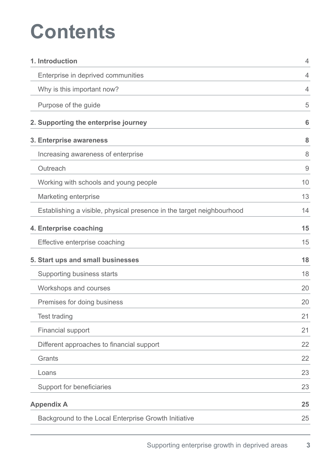# **Contents**

| 1. Introduction                                                       | $\overline{4}$ |
|-----------------------------------------------------------------------|----------------|
| Enterprise in deprived communities                                    | 4              |
| Why is this important now?                                            | 4              |
| Purpose of the guide                                                  | 5              |
| 2. Supporting the enterprise journey                                  | 6              |
| 3. Enterprise awareness                                               | 8              |
| Increasing awareness of enterprise                                    | 8              |
| Outreach                                                              | 9              |
| Working with schools and young people                                 | 10             |
| Marketing enterprise                                                  | 13             |
| Establishing a visible, physical presence in the target neighbourhood | 14             |
| 4. Enterprise coaching                                                | 15             |
| Effective enterprise coaching                                         | 15             |
| 5. Start ups and small businesses                                     | 18             |
| Supporting business starts                                            | 18             |
| Workshops and courses                                                 | 20             |
| Premises for doing business                                           | 20             |
| <b>Test trading</b>                                                   | 21             |
| <b>Financial support</b>                                              | 21             |
| Different approaches to financial support                             | 22             |
| Grants                                                                | 22             |
| Loans                                                                 | 23             |
| Support for beneficiaries                                             | 23             |
| <b>Appendix A</b>                                                     | 25             |
| Background to the Local Enterprise Growth Initiative                  | 25             |
|                                                                       |                |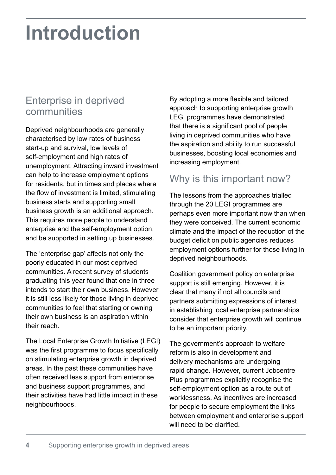# **Introduction**

## Enterprise in deprived communities

Deprived neighbourhoods are generally characterised by low rates of business start-up and survival, low levels of self-employment and high rates of unemployment. Attracting inward investment can help to increase employment options for residents, but in times and places where the flow of investment is limited, stimulating business starts and supporting small business growth is an additional approach. This requires more people to understand enterprise and the self-employment option, and be supported in setting up businesses.

The 'enterprise gap' affects not only the poorly educated in our most deprived communities. A recent survey of students graduating this year found that one in three intends to start their own business. However it is still less likely for those living in deprived communities to feel that starting or owning their own business is an aspiration within their reach.

The Local Enterprise Growth Initiative (LEGI) was the first programme to focus specifically on stimulating enterprise growth in deprived areas. In the past these communities have often received less support from enterprise and business support programmes, and their activities have had little impact in these neighbourhoods.

By adopting a more flexible and tailored approach to supporting enterprise growth LEGI programmes have demonstrated that there is a significant pool of people living in deprived communities who have the aspiration and ability to run successful businesses, boosting local economies and increasing employment.

## Why is this important now?

The lessons from the approaches trialled through the 20 LEGI programmes are perhaps even more important now than when they were conceived. The current economic climate and the impact of the reduction of the budget deficit on public agencies reduces employment options further for those living in deprived neighbourhoods.

Coalition government policy on enterprise support is still emerging. However, it is clear that many if not all councils and partners submitting expressions of interest in establishing local enterprise partnerships consider that enterprise growth will continue to be an important priority.

The government's approach to welfare reform is also in development and delivery mechanisms are undergoing rapid change. However, current Jobcentre Plus programmes explicitly recognise the self-employment option as a route out of worklessness. As incentives are increased for people to secure employment the links between employment and enterprise support will need to be clarified.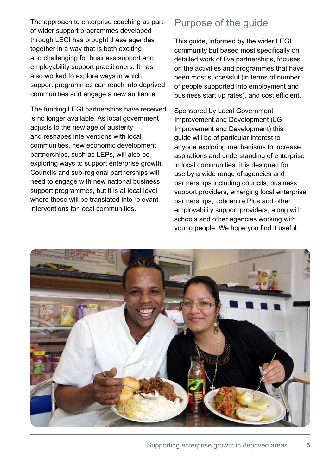The approach to enterprise coaching as part of wider support programmes developed through LEGI has brought these agendas together in a way that is both exciting and challenging for business support and employability support practitioners. It has also worked to explore ways in which support programmes can reach into deprived communities and engage a new audience.

The funding LEGI partnerships have received is no longer available. As local government adjusts to the new age of austerity and reshapes interventions with local communities, new economic development partnerships, such as LEPs, will also be exploring ways to support enterprise growth. Councils and sub-regional partnerships will need to engage with new national business support programmes, but it is at local level where these will be translated into relevant interventions for local communities.

### Purpose of the guide

This guide, informed by the wider LEGI community but based most specifically on detailed work of five partnerships, focuses on the activities and programmes that have been most successful (in terms of number of people supported into employment and business start up rates), and cost efficient.

Sponsored by Local Government Improvement and Development (LG Improvement and Development) this guide will be of particular interest to anyone exploring mechanisms to increase aspirations and understanding of enterprise in local communities. It is designed for use by a wide range of agencies and partnerships including councils, business support providers, emerging local enterprise partnerships, Jobcentre Plus and other employability support providers, along with schools and other agencies working with young people. We hope you find it useful.

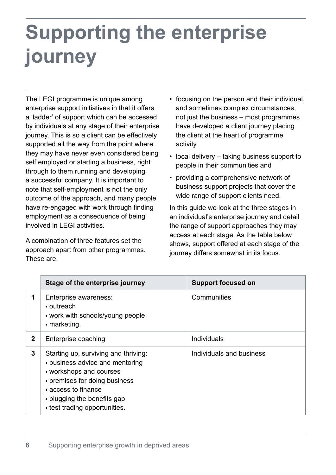# **Supporting the enterprise journey**

The LEGI programme is unique among enterprise support initiatives in that it offers a 'ladder' of support which can be accessed by individuals at any stage of their enterprise journey. This is so a client can be effectively supported all the way from the point where they may have never even considered being self employed or starting a business, right through to them running and developing a successful company. It is important to note that self-employment is not the only outcome of the approach, and many people have re-engaged with work through finding employment as a consequence of being involved in LEGI activities.

A combination of three features set the approach apart from other programmes. These are:

- focusing on the person and their individual, and sometimes complex circumstances, not just the business – most programmes have developed a client journey placing the client at the heart of programme activity
- $\cdot$  local delivery taking business support to people in their communities and
- providing a comprehensive network of business support projects that cover the wide range of support clients need.

In this guide we look at the three stages in an individual's enterprise journey and detail the range of support approaches they may access at each stage. As the table below shows, support offered at each stage of the journey differs somewhat in its focus.

|              | Stage of the enterprise journey                                                                                                                                                                                            | <b>Support focused on</b> |
|--------------|----------------------------------------------------------------------------------------------------------------------------------------------------------------------------------------------------------------------------|---------------------------|
| 1            | Enterprise awareness:<br>• outreach<br>• work with schools/young people<br>$\cdot$ marketing.                                                                                                                              | Communities               |
| $\mathbf{2}$ | Enterprise coaching                                                                                                                                                                                                        | <b>Individuals</b>        |
| 3            | Starting up, surviving and thriving:<br>• business advice and mentoring<br>• workshops and courses<br>• premises for doing business<br>• access to finance<br>• plugging the benefits gap<br>• test trading opportunities. | Individuals and business  |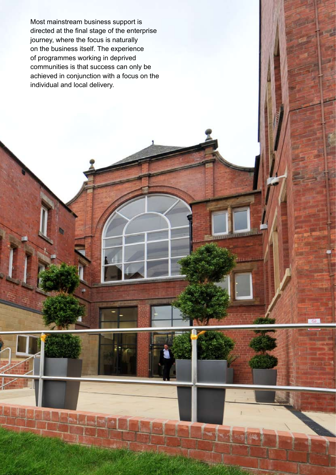Most mainstream business support is directed at the final stage of the enterprise journey, where the focus is naturally on the business itself. The experience of programmes working in deprived communities is that success can only be achieved in conjunction with a focus on the individual and local delivery.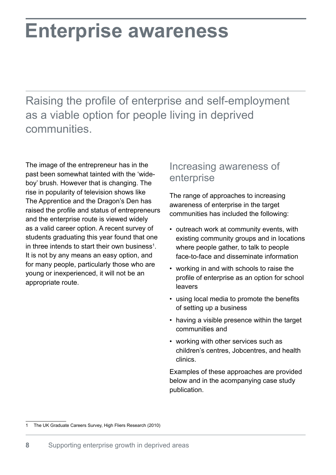# **Enterprise awareness**

Raising the profile of enterprise and self-employment as a viable option for people living in deprived communities.

The image of the entrepreneur has in the past been somewhat tainted with the 'wideboy' brush. However that is changing. The rise in popularity of television shows like The Apprentice and the Dragon's Den has raised the profile and status of entrepreneurs and the enterprise route is viewed widely as a valid career option. A recent survey of students graduating this year found that one in three intends to start their own business<sup>1</sup>. It is not by any means an easy option, and for many people, particularly those who are young or inexperienced, it will not be an appropriate route.

### Increasing awareness of enterprise

The range of approaches to increasing awareness of enterprise in the target communities has included the following:

- outreach work at community events, with existing community groups and in locations where people gather, to talk to people face-to-face and disseminate information
- working in and with schools to raise the profile of enterprise as an option for school leavers
- using local media to promote the benefits of setting up a business
- having a visible presence within the target communities and
- working with other services such as children's centres, Jobcentres, and health clinics.

Examples of these approaches are provided below and in the acompanying case study publication.

The UK Graduate Careers Survey, High Fliers Research (2010)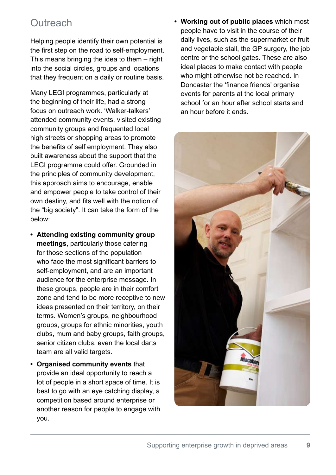## **Outreach**

Helping people identify their own potential is the first step on the road to self-employment. This means bringing the idea to them – right into the social circles, groups and locations that they frequent on a daily or routine basis.

Many LEGI programmes, particularly at the beginning of their life, had a strong focus on outreach work. 'Walker-talkers' attended community events, visited existing community groups and frequented local high streets or shopping areas to promote the benefits of self employment. They also built awareness about the support that the LEGI programme could offer. Grounded in the principles of community development, this approach aims to encourage, enable and empower people to take control of their own destiny, and fits well with the notion of the "big society". It can take the form of the below:

- **• Attending existing community group meetings**, particularly those catering for those sections of the population who face the most significant barriers to self-employment, and are an important audience for the enterprise message. In these groups, people are in their comfort zone and tend to be more receptive to new ideas presented on their territory, on their terms. Women's groups, neighbourhood groups, groups for ethnic minorities, youth clubs, mum and baby groups, faith groups, senior citizen clubs, even the local darts team are all valid targets.
- **• Organised community events** that provide an ideal opportunity to reach a lot of people in a short space of time. It is best to go with an eye catching display, a competition based around enterprise or another reason for people to engage with you.

**• Working out of public places** which most people have to visit in the course of their daily lives, such as the supermarket or fruit and vegetable stall, the GP surgery, the job centre or the school gates. These are also ideal places to make contact with people who might otherwise not be reached. In Doncaster the 'finance friends' organise events for parents at the local primary school for an hour after school starts and an hour before it ends.

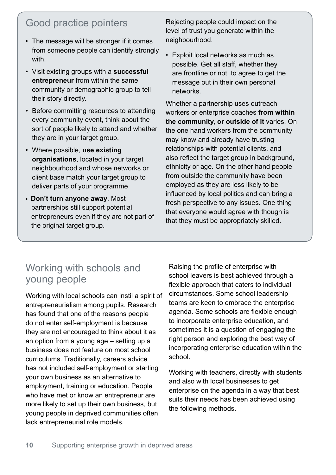## Good practice pointers

- The message will be stronger if it comes from someone people can identify strongly with.
- Visit existing groups with a **successful entrepreneur** from within the same community or demographic group to tell their story directly.
- Before committing resources to attending every community event, think about the sort of people likely to attend and whether they are in your target group.
- Where possible, **use existing organisations**, located in your target neighbourhood and whose networks or client base match your target group to deliver parts of your programme
- **• Don't turn anyone away**. Most partnerships still support potential entrepreneurs even if they are not part of the original target group.

Rejecting people could impact on the level of trust you generate within the neighbourhood.

• Exploit local networks as much as possible. Get all staff, whether they are frontline or not, to agree to get the message out in their own personal networks.

Whether a partnership uses outreach workers or enterprise coaches **from within the community, or outside of it** varies. On the one hand workers from the community may know and already have trusting relationships with potential clients, and also reflect the target group in background, ethnicity or age. On the other hand people from outside the community have been employed as they are less likely to be influenced by local politics and can bring a fresh perspective to any issues. One thing that everyone would agree with though is that they must be appropriately skilled.

## Working with schools and young people

Working with local schools can instil a spirit of entrepreneurialism among pupils. Research has found that one of the reasons people do not enter self-employment is because they are not encouraged to think about it as an option from a young age – setting up a business does not feature on most school curriculums. Traditionally, careers advice has not included self-employment or starting your own business as an alternative to employment, training or education. People who have met or know an entrepreneur are more likely to set up their own business, but young people in deprived communities often lack entrepreneurial role models.

Raising the profile of enterprise with school leavers is best achieved through a flexible approach that caters to individual circumstances. Some school leadership teams are keen to embrace the enterprise agenda. Some schools are flexible enough to incorporate enterprise education, and sometimes it is a question of engaging the right person and exploring the best way of incorporating enterprise education within the school.

Working with teachers, directly with students and also with local businesses to get enterprise on the agenda in a way that best suits their needs has been achieved using the following methods.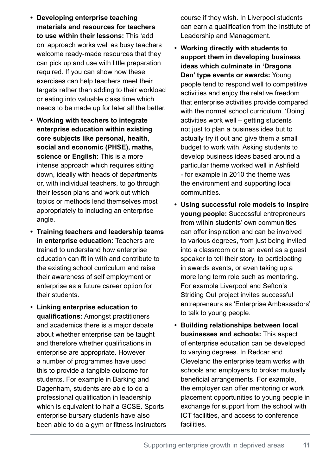- **• Developing enterprise teaching materials and resources for teachers to use within their lessons:** This 'add on' approach works well as busy teachers welcome ready-made resources that they can pick up and use with little preparation required. If you can show how these exercises can help teachers meet their targets rather than adding to their workload or eating into valuable class time which needs to be made up for later all the better.
- **• Working with teachers to integrate enterprise education within existing core subjects like personal, health, social and economic (PHSE), maths, science or English:** This is a more intense approach which requires sitting down, ideally with heads of departments or, with individual teachers, to go through their lesson plans and work out which topics or methods lend themselves most appropriately to including an enterprise angle.
- **• Training teachers and leadership teams in enterprise education:** Teachers are trained to understand how enterprise education can fit in with and contribute to the existing school curriculum and raise their awareness of self employment or enterprise as a future career option for their students.
- **• Linking enterprise education to qualifications:** Amongst practitioners and academics there is a major debate about whether enterprise can be taught and therefore whether qualifications in enterprise are appropriate. However a number of programmes have used this to provide a tangible outcome for students. For example in Barking and Dagenham, students are able to do a professional qualification in leadership which is equivalent to half a GCSE. Sports enterprise bursary students have also been able to do a gym or fitness instructors

course if they wish. In Liverpool students can earn a qualification from the Institute of Leadership and Management.

- **• Working directly with students to support them in developing business ideas which culminate in 'Dragons Den' type events or awards:** Young people tend to respond well to competitive activities and enjoy the relative freedom that enterprise activities provide compared with the normal school curriculum. 'Doing' activities work well – getting students not just to plan a business idea but to actually try it out and give them a small budget to work with. Asking students to develop business ideas based around a particular theme worked well in Ashfield - for example in 2010 the theme was the environment and supporting local communities.
- **• Using successful role models to inspire young people:** Successful entrepreneurs from within students' own communities can offer inspiration and can be involved to various degrees, from just being invited into a classroom or to an event as a guest speaker to tell their story, to participating in awards events, or even taking up a more long term role such as mentoring. For example Liverpool and Sefton's Striding Out project invites successful entrepreneurs as 'Enterprise Ambassadors' to talk to young people.
- **• Building relationships between local businesses and schools:** This aspect of enterprise education can be developed to varying degrees. In Redcar and Cleveland the enterprise team works with schools and employers to broker mutually beneficial arrangements. For example, the employer can offer mentoring or work placement opportunities to young people in exchange for support from the school with ICT facilities, and access to conference **facilities**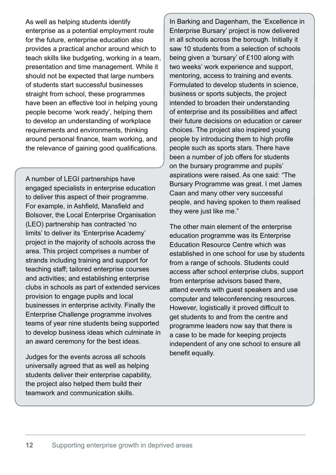As well as helping students identify enterprise as a potential employment route for the future, enterprise education also provides a practical anchor around which to teach skills like budgeting, working in a team, presentation and time management. While it should not be expected that large numbers of students start successful businesses straight from school, these programmes have been an effective tool in helping young people become 'work ready', helping them to develop an understanding of workplace requirements and environments, thinking around personal finance, team working, and the relevance of gaining good qualifications.

A number of LEGI partnerships have engaged specialists in enterprise education to deliver this aspect of their programme. For example, in Ashfield, Mansfield and Bolsover, the Local Enterprise Organisation (LEO) partnership has contracted 'no limits' to deliver its 'Enterprise Academy' project in the majority of schools across the area. This project comprises a number of strands including training and support for teaching staff; tailored enterprise courses and activities; and establishing enterprise clubs in schools as part of extended services provision to engage pupils and local businesses in enterprise activity. Finally the Enterprise Challenge programme involves teams of year nine students being supported to develop business ideas which culminate in an award ceremony for the best ideas.

Judges for the events across all schools universally agreed that as well as helping students deliver their enterprise capability, the project also helped them build their teamwork and communication skills.

In Barking and Dagenham, the 'Excellence in Enterprise Bursary' project is now delivered in all schools across the borough. Initially it saw 10 students from a selection of schools being given a 'bursary' of £100 along with two weeks' work experience and support, mentoring, access to training and events. Formulated to develop students in science, business or sports subjects, the project intended to broaden their understanding of enterprise and its possibilities and affect their future decisions on education or career choices. The project also inspired young people by introducing them to high profile people such as sports stars. There have been a number of job offers for students on the bursary programme and pupils' aspirations were raised. As one said: "The Bursary Programme was great. I met James Caan and many other very successful people, and having spoken to them realised they were just like me."

The other main element of the enterprise education programme was its Enterprise Education Resource Centre which was established in one school for use by students from a range of schools. Students could access after school enterprise clubs, support from enterprise advisors based there, attend events with guest speakers and use computer and teleconferencing resources. However, logistically it proved difficult to get students to and from the centre and programme leaders now say that there is a case to be made for keeping projects independent of any one school to ensure all benefit equally.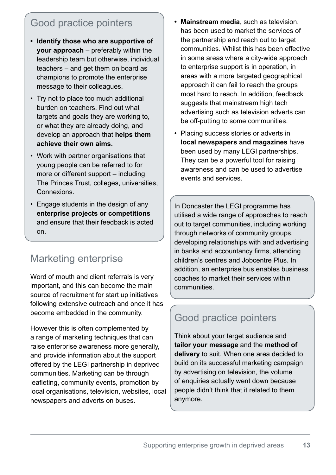## Good practice pointers

- **• Identify those who are supportive of your approach** – preferably within the leadership team but otherwise, individual teachers – and get them on board as champions to promote the enterprise message to their colleagues.
- Try not to place too much additional burden on teachers. Find out what targets and goals they are working to, or what they are already doing, and develop an approach that **helps them achieve their own aims.**
- Work with partner organisations that young people can be referred to for more or different support – including The Princes Trust, colleges, universities, Connexions.
- Engage students in the design of any **enterprise projects or competitions**  and ensure that their feedback is acted on.

## Marketing enterprise

Word of mouth and client referrals is very important, and this can become the main source of recruitment for start up initiatives following extensive outreach and once it has become embedded in the community.

However this is often complemented by a range of marketing techniques that can raise enterprise awareness more generally, and provide information about the support offered by the LEGI partnership in deprived communities. Marketing can be through leafleting, community events, promotion by local organisations, television, websites, local newspapers and adverts on buses.

- **• Mainstream media**, such as television, has been used to market the services of the partnership and reach out to target communities. Whilst this has been effective in some areas where a city-wide approach to enterprise support is in operation, in areas with a more targeted geographical approach it can fail to reach the groups most hard to reach. In addition, feedback suggests that mainstream high tech advertising such as television adverts can be off-putting to some communities.
- Placing success stories or adverts in **local newspapers and magazines** have been used by many LEGI partnerships. They can be a powerful tool for raising awareness and can be used to advertise events and services.

In Doncaster the LEGI programme has utilised a wide range of approaches to reach out to target communities, including working through networks of community groups, developing relationships with and advertising in banks and accountancy firms, attending children's centres and Jobcentre Plus. In addition, an enterprise bus enables business coaches to market their services within communities.

## Good practice pointers

Think about your target audience and **tailor your message** and the **method of delivery** to suit. When one area decided to build on its successful marketing campaign by advertising on television, the volume of enquiries actually went down because people didn't think that it related to them anymore.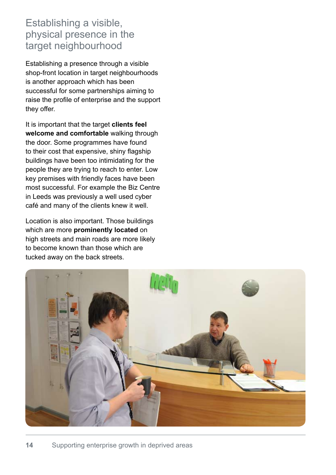### Establishing a visible, physical presence in the target neighbourhood

Establishing a presence through a visible shop-front location in target neighbourhoods is another approach which has been successful for some partnerships aiming to raise the profile of enterprise and the support they offer.

It is important that the target **clients feel welcome and comfortable** walking through the door. Some programmes have found to their cost that expensive, shiny flagship buildings have been too intimidating for the people they are trying to reach to enter. Low key premises with friendly faces have been most successful. For example the Biz Centre in Leeds was previously a well used cyber café and many of the clients knew it well.

Location is also important. Those buildings which are more **prominently located** on high streets and main roads are more likely to become known than those which are tucked away on the back streets.

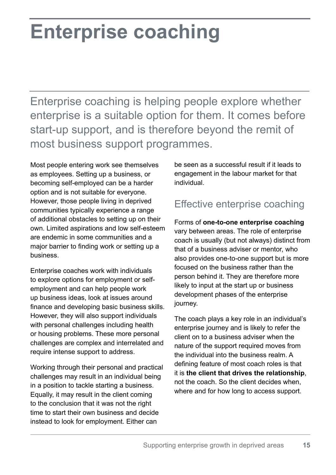# **Enterprise coaching**

Enterprise coaching is helping people explore whether enterprise is a suitable option for them. It comes before start-up support, and is therefore beyond the remit of most business support programmes.

Most people entering work see themselves as employees. Setting up a business, or becoming self-employed can be a harder option and is not suitable for everyone. However, those people living in deprived communities typically experience a range of additional obstacles to setting up on their own. Limited aspirations and low self-esteem are endemic in some communities and a major barrier to finding work or setting up a business.

Enterprise coaches work with individuals to explore options for employment or selfemployment and can help people work up business ideas, look at issues around finance and developing basic business skills. However, they will also support individuals with personal challenges including health or housing problems. These more personal challenges are complex and interrelated and require intense support to address.

Working through their personal and practical challenges may result in an individual being in a position to tackle starting a business. Equally, it may result in the client coming to the conclusion that it was not the right time to start their own business and decide instead to look for employment. Either can

be seen as a successful result if it leads to engagement in the labour market for that individual.

## Effective enterprise coaching

Forms of **one-to-one enterprise coaching**  vary between areas. The role of enterprise coach is usually (but not always) distinct from that of a business adviser or mentor, who also provides one-to-one support but is more focused on the business rather than the person behind it. They are therefore more likely to input at the start up or business development phases of the enterprise journey.

The coach plays a key role in an individual's enterprise journey and is likely to refer the client on to a business adviser when the nature of the support required moves from the individual into the business realm. A defining feature of most coach roles is that it is **the client that drives the relationship**, not the coach. So the client decides when, where and for how long to access support.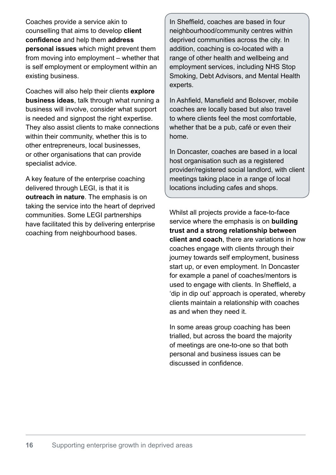Coaches provide a service akin to counselling that aims to develop **client confidence** and help them **address personal issues** which might prevent them from moving into employment – whether that is self employment or employment within an existing business.

Coaches will also help their clients **explore business ideas**, talk through what running a business will involve, consider what support is needed and signpost the right expertise. They also assist clients to make connections within their community, whether this is to other entrepreneurs, local businesses, or other organisations that can provide specialist advice.

A key feature of the enterprise coaching delivered through LEGI, is that it is **outreach in nature**. The emphasis is on taking the service into the heart of deprived communities. Some LEGI partnerships have facilitated this by delivering enterprise coaching from neighbourhood bases.

In Sheffield, coaches are based in four neighbourhood/community centres within deprived communities across the city. In addition, coaching is co-located with a range of other health and wellbeing and employment services, including NHS Stop Smoking, Debt Advisors, and Mental Health experts.

In Ashfield, Mansfield and Bolsover, mobile coaches are locally based but also travel to where clients feel the most comfortable, whether that be a pub, café or even their home.

In Doncaster, coaches are based in a local host organisation such as a registered provider/registered social landlord, with client meetings taking place in a range of local locations including cafes and shops.

Whilst all projects provide a face-to-face service where the emphasis is on **building trust and a strong relationship between client and coach**, there are variations in how coaches engage with clients through their journey towards self employment, business start up, or even employment. In Doncaster for example a panel of coaches/mentors is used to engage with clients. In Sheffield, a 'dip in dip out' approach is operated, whereby clients maintain a relationship with coaches as and when they need it.

In some areas group coaching has been trialled, but across the board the majority of meetings are one-to-one so that both personal and business issues can be discussed in confidence.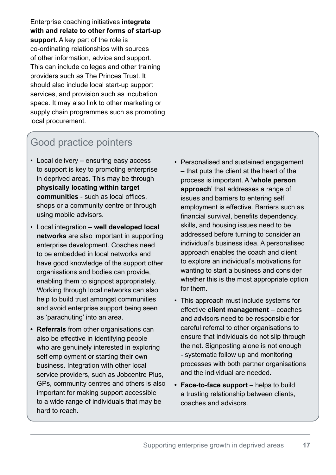Enterprise coaching initiatives **integrate with and relate to other forms of start-up support.** A key part of the role is co-ordinating relationships with sources of other information, advice and support. This can include colleges and other training providers such as The Princes Trust. It should also include local start-up support services, and provision such as incubation space. It may also link to other marketing or supply chain programmes such as promoting local procurement.

## Good practice pointers

- Local delivery ensuring easy access to support is key to promoting enterprise in deprived areas. This may be through **physically locating within target communities** - such as local offices, shops or a community centre or through using mobile advisors.
- Local integration **well developed local networks** are also important in supporting enterprise development. Coaches need to be embedded in local networks and have good knowledge of the support other organisations and bodies can provide, enabling them to signpost appropriately. Working through local networks can also help to build trust amongst communities and avoid enterprise support being seen as 'parachuting' into an area.
- **• Referrals** from other organisations can also be effective in identifying people who are genuinely interested in exploring self employment or starting their own business. Integration with other local service providers, such as Jobcentre Plus, GPs, community centres and others is also important for making support accessible to a wide range of individuals that may be hard to reach.
- Personalised and sustained engagement – that puts the client at the heart of the process is important. A '**whole person approach**' that addresses a range of issues and barriers to entering self employment is effective. Barriers such as financial survival, benefits dependency, skills, and housing issues need to be addressed before turning to consider an individual's business idea. A personalised approach enables the coach and client to explore an individual's motivations for wanting to start a business and consider whether this is the most appropriate option for them.
- This approach must include systems for effective **client management** – coaches and advisors need to be responsible for careful referral to other organisations to ensure that individuals do not slip through the net. Signposting alone is not enough - systematic follow up and monitoring processes with both partner organisations and the individual are needed.
- **• Face-to-face support** helps to build a trusting relationship between clients, coaches and advisors.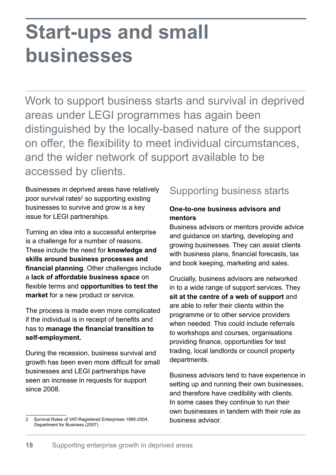# **Start-ups and small businesses**

Work to support business starts and survival in deprived areas under LEGI programmes has again been distinguished by the locally-based nature of the support on offer, the flexibility to meet individual circumstances, and the wider network of support available to be accessed by clients.

Businesses in deprived areas have relatively poor survival rates<sup>2</sup> so supporting existing businesses to survive and grow is a key issue for LEGI partnerships.

Turning an idea into a successful enterprise is a challenge for a number of reasons. These include the need for **knowledge and skills around business processes and financial planning**. Other challenges include a **lack of affordable business space** on flexible terms and **opportunities to test the market** for a new product or service.

The process is made even more complicated if the individual is in receipt of benefits and has to **manage the financial transition to self-employment.** 

During the recession, business survival and growth has been even more difficult for small businesses and LEGI partnerships have seen an increase in requests for support since 2008.

## Supporting business starts

#### **One-to-one business advisors and mentors**

Business advisors or mentors provide advice and guidance on starting, developing and growing businesses. They can assist clients with business plans, financial forecasts, tax and book keeping, marketing and sales.

Crucially, business advisors are networked in to a wide range of support services. They **sit at the centre of a web of support** and are able to refer their clients within the programme or to other service providers when needed. This could include referrals to workshops and courses, organisations providing finance, opportunities for test trading, local landlords or council property departments.

Business advisors tend to have experience in setting up and running their own businesses, and therefore have credibility with clients. In some cases they continue to run their own businesses in tandem with their role as business advisor.

Survival Rates of VAT-Registered Enterprises 1995-2004, Department for Business (2007) 2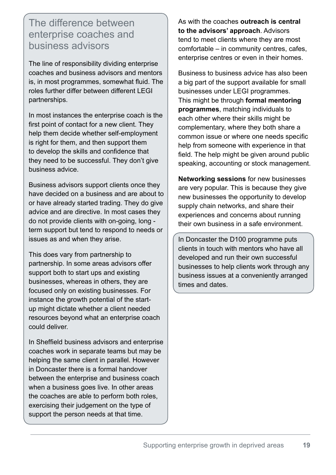### The difference between enterprise coaches and business advisors

The line of responsibility dividing enterprise coaches and business advisors and mentors is, in most programmes, somewhat fluid. The roles further differ between different LEGI partnerships.

In most instances the enterprise coach is the first point of contact for a new client. They help them decide whether self-employment is right for them, and then support them to develop the skills and confidence that they need to be successful. They don't give business advice.

Business advisors support clients once they have decided on a business and are about to or have already started trading. They do give advice and are directive. In most cases they do not provide clients with on-going, long term support but tend to respond to needs or issues as and when they arise.

This does vary from partnership to partnership. In some areas advisors offer support both to start ups and existing businesses, whereas in others, they are focused only on existing businesses. For instance the growth potential of the startup might dictate whether a client needed resources beyond what an enterprise coach could deliver.

In Sheffield business advisors and enterprise coaches work in separate teams but may be helping the same client in parallel. However in Doncaster there is a formal handover between the enterprise and business coach when a business goes live. In other areas the coaches are able to perform both roles, exercising their judgement on the type of support the person needs at that time.

As with the coaches **outreach is central to the advisors' approach**. Advisors tend to meet clients where they are most comfortable – in community centres, cafes, enterprise centres or even in their homes.

Business to business advice has also been a big part of the support available for small businesses under LEGI programmes. This might be through **formal mentoring programmes**, matching individuals to each other where their skills might be complementary, where they both share a common issue or where one needs specific help from someone with experience in that field. The help might be given around public speaking, accounting or stock management.

**Networking sessions** for new businesses are very popular. This is because they give new businesses the opportunity to develop supply chain networks, and share their experiences and concerns about running their own business in a safe environment.

In Doncaster the D100 programme puts clients in touch with mentors who have all developed and run their own successful businesses to help clients work through any business issues at a conveniently arranged times and dates.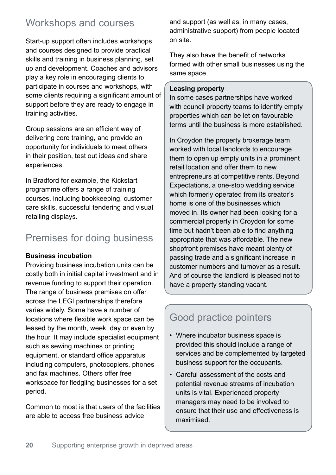## Workshops and courses

Start-up support often includes workshops and courses designed to provide practical skills and training in business planning, set up and development. Coaches and advisors play a key role in encouraging clients to participate in courses and workshops, with some clients requiring a significant amount of support before they are ready to engage in training activities.

Group sessions are an efficient way of delivering core training, and provide an opportunity for individuals to meet others in their position, test out ideas and share experiences.

In Bradford for example, the Kickstart programme offers a range of training courses, including bookkeeping, customer care skills, successful tendering and visual retailing displays.

## Premises for doing business

#### **Business incubation**

Providing business incubation units can be costly both in initial capital investment and in revenue funding to support their operation. The range of business premises on offer across the LEGI partnerships therefore varies widely. Some have a number of locations where flexible work space can be leased by the month, week, day or even by the hour. It may include specialist equipment such as sewing machines or printing equipment, or standard office apparatus including computers, photocopiers, phones and fax machines. Others offer free workspace for fledgling businesses for a set period.

Common to most is that users of the facilities are able to access free business advice

and support (as well as, in many cases, administrative support) from people located on site.

They also have the benefit of networks formed with other small businesses using the same space.

#### **Leasing property**

In some cases partnerships have worked with council property teams to identify empty properties which can be let on favourable terms until the business is more established.

In Croydon the property brokerage team worked with local landlords to encourage them to open up empty units in a prominent retail location and offer them to new entrepreneurs at competitive rents. Beyond Expectations, a one-stop wedding service which formerly operated from its creator's home is one of the businesses which moved in. Its owner had been looking for a commercial property in Croydon for some time but hadn't been able to find anything appropriate that was affordable. The new shopfront premises have meant plenty of passing trade and a significant increase in customer numbers and turnover as a result. And of course the landlord is pleased not to have a property standing vacant.

## Good practice pointers

- Where incubator business space is provided this should include a range of services and be complemented by targeted business support for the occupants.
- Careful assessment of the costs and potential revenue streams of incubation units is vital. Experienced property managers may need to be involved to ensure that their use and effectiveness is maximised.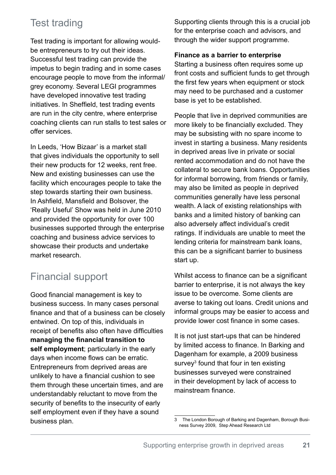# Test trading

Test trading is important for allowing wouldbe entrepreneurs to try out their ideas. Successful test trading can provide the impetus to begin trading and in some cases encourage people to move from the informal/ grey economy. Several LEGI programmes have developed innovative test trading initiatives. In Sheffield, test trading events are run in the city centre, where enterprise coaching clients can run stalls to test sales or offer services.

In Leeds, 'How Bizaar' is a market stall that gives individuals the opportunity to sell their new products for 12 weeks, rent free. New and existing businesses can use the facility which encourages people to take the step towards starting their own business. In Ashfield, Mansfield and Bolsover, the 'Really Useful' Show was held in June 2010 and provided the opportunity for over 100 businesses supported through the enterprise coaching and business advice services to showcase their products and undertake market research.

# Financial support

Good financial management is key to business success. In many cases personal finance and that of a business can be closely entwined. On top of this, individuals in receipt of benefits also often have difficulties **managing the financial transition to self employment**; particularly in the early days when income flows can be erratic. Entrepreneurs from deprived areas are unlikely to have a financial cushion to see them through these uncertain times, and are understandably reluctant to move from the security of benefits to the insecurity of early self employment even if they have a sound business plan.

Supporting clients through this is a crucial job for the enterprise coach and advisors, and through the wider support programme.

#### **Finance as a barrier to enterprise**

Starting a business often requires some up front costs and sufficient funds to get through the first few years when equipment or stock may need to be purchased and a customer base is yet to be established.

People that live in deprived communities are more likely to be financially excluded. They may be subsisting with no spare income to invest in starting a business. Many residents in deprived areas live in private or social rented accommodation and do not have the collateral to secure bank loans. Opportunities for informal borrowing, from friends or family, may also be limited as people in deprived communities generally have less personal wealth. A lack of existing relationships with banks and a limited history of banking can also adversely affect individual's credit ratings. If individuals are unable to meet the lending criteria for mainstream bank loans, this can be a significant barrier to business start up.

Whilst access to finance can be a significant barrier to enterprise, it is not always the key issue to be overcome. Some clients are averse to taking out loans. Credit unions and informal groups may be easier to access and provide lower cost finance in some cases.

It is not just start-ups that can be hindered by limited access to finance. In Barking and Dagenham for example, a 2009 business survey<sup>3</sup> found that four in ten existing businesses surveyed were constrained in their development by lack of access to mainstream finance.

<sup>3</sup> The London Borough of Barking and Dagenham, Borough Business Survey 2009, Step Ahead Research Ltd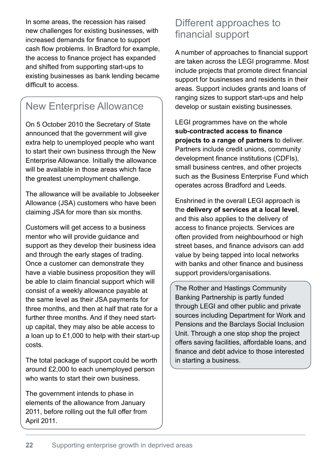In some areas, the recession has raised new challenges for existing businesses, with increased demands for finance to support cash flow problems. In Bradford for example, the access to finance project has expanded and shifted from supporting start-ups to existing businesses as bank lending became difficult to access.

## New Enterprise Allowance

On 5 October 2010 the Secretary of State announced that the government will give extra help to unemployed people who want to start their own business through the New Enterprise Allowance. Initially the allowance will be available in those areas which face the greatest unemployment challenge.

The allowance will be available to Jobseeker Allowance (JSA) customers who have been claiming JSA for more than six months.

Customers will get access to a business mentor who will provide guidance and support as they develop their business idea and through the early stages of trading. Once a customer can demonstrate they have a viable business proposition they will be able to claim financial support which will consist of a weekly allowance payable at the same level as their JSA payments for three months, and then at half that rate for a further three months. And if they need startup capital, they may also be able access to a loan up to £1,000 to help with their start-up costs.

The total package of support could be worth around £2,000 to each unemployed person who wants to start their own business.

The government intends to phase in elements of the allowance from January 2011, before rolling out the full offer from April 2011.

### Different approaches to financial support

A number of approaches to financial support are taken across the LEGI programme. Most include projects that promote direct financial support for businesses and residents in their areas. Support includes grants and loans of ranging sizes to support start-ups and help develop or sustain existing businesses.

LEGI programmes have on the whole sub-contracted access to finance **projects to a range of partners** to deliver. Partners include credit unions, community development finance institutions (CDFIs), small business centres, and other projects such as the Business Enterprise Fund which operates across Bradford and Leeds.

Enshrined in the overall LEGI approach is the **delivery of services at a local level**, and this also applies to the delivery of access to finance projects. Services are often provided from neighbourhood or high street bases, and finance advisors can add value by being tapped into local networks with banks and other finance and business support providers/organisations.

The Rother and Hastings Community Banking Partnership is partly funded through LEGI and other public and private sources including Department for Work and Pensions and the Barclays Social Inclusion Unit. Through a one stop shop the project offers saving facilities, affordable loans, and finance and debt advice to those interested in starting a business.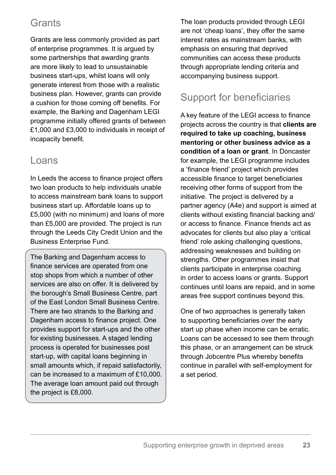## **Grants**

Grants are less commonly provided as part of enterprise programmes. It is argued by some partnerships that awarding grants are more likely to lead to unsustainable business start-ups, whilst loans will only generate interest from those with a realistic business plan. However, grants can provide a cushion for those coming off benefits. For example, the Barking and Dagenham LEGI programme initially offered grants of between £1,000 and £3,000 to individuals in receipt of incapacity benefit.

### Loans

In Leeds the access to finance project offers two loan products to help individuals unable to access mainstream bank loans to support business start up. Affordable loans up to £5,000 (with no minimum) and loans of more than £5,000 are provided. The project is run through the Leeds City Credit Union and the Business Enterprise Fund.

The Barking and Dagenham access to finance services are operated from one stop shops from which a number of other services are also on offer. It is delivered by the borough's Small Business Centre, part of the East London Small Business Centre. There are two strands to the Barking and Dagenham access to finance project. One provides support for start-ups and the other for existing businesses. A staged lending process is operated for businesses post start-up, with capital loans beginning in small amounts which, if repaid satisfactorily, can be increased to a maximum of £10,000. The average loan amount paid out through the project is £8,000.

The loan products provided through LEGI are not 'cheap loans', they offer the same interest rates as mainstream banks, with emphasis on ensuring that deprived communities can access these products through appropriate lending criteria and accompanying business support.

# Support for beneficiaries

A key feature of the LEGI access to finance projects across the country is that **clients are required to take up coaching, business mentoring or other business advice as a condition of a loan or grant**. In Doncaster for example, the LEGI programme includes a 'finance friend' project which provides accessible finance to target beneficiaries receiving other forms of support from the initiative. The project is delivered by a partner agency (A4e) and support is aimed at clients without existing financial backing and/ or access to finance. Finance friends act as advocates for clients but also play a 'critical friend' role asking challenging questions, addressing weaknesses and building on strengths. Other programmes insist that clients participate in enterprise coaching in order to access loans or grants. Support continues until loans are repaid, and in some areas free support continues beyond this.

One of two approaches is generally taken to supporting beneficiaries over the early start up phase when income can be erratic. Loans can be accessed to see them through this phase, or an arrangement can be struck through Jobcentre Plus whereby benefits continue in parallel with self-employment for a set period.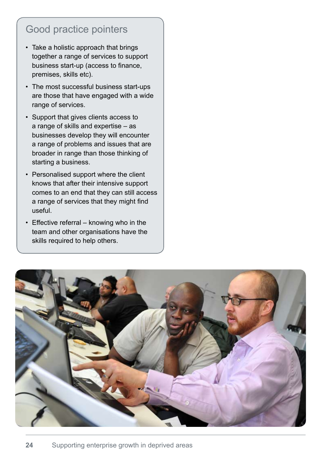## Good practice pointers

- Take a holistic approach that brings together a range of services to support business start-up (access to finance, premises, skills etc).
- The most successful business start-ups are those that have engaged with a wide range of services.
- Support that gives clients access to a range of skills and expertise – as businesses develop they will encounter a range of problems and issues that are broader in range than those thinking of starting a business.
- Personalised support where the client knows that after their intensive support comes to an end that they can still access a range of services that they might find useful.
- Effective referral knowing who in the team and other organisations have the skills required to help others.

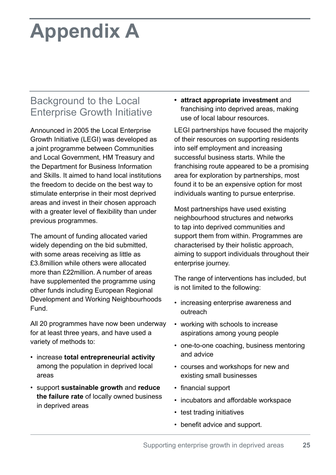# **Appendix A**

## Background to the Local Enterprise Growth Initiative

Announced in 2005 the Local Enterprise Growth Initiative (LEGI) was developed as a joint programme between Communities and Local Government, HM Treasury and the Department for Business Information and Skills. It aimed to hand local institutions the freedom to decide on the best way to stimulate enterprise in their most deprived areas and invest in their chosen approach with a greater level of flexibility than under previous programmes.

The amount of funding allocated varied widely depending on the bid submitted, with some areas receiving as little as £3.8million while others were allocated more than £22million. A number of areas have supplemented the programme using other funds including European Regional Development and Working Neighbourhoods Fund.

All 20 programmes have now been underway for at least three years, and have used a variety of methods to:

- • increase **total entrepreneurial activity**  among the population in deprived local areas
- • support **sustainable growth** and **reduce the failure rate** of locally owned business in deprived areas

**• attract appropriate investment** and franchising into deprived areas, making use of local labour resources.

LEGI partnerships have focused the majority of their resources on supporting residents into self employment and increasing successful business starts. While the franchising route appeared to be a promising area for exploration by partnerships, most found it to be an expensive option for most individuals wanting to pursue enterprise.

Most partnerships have used existing neighbourhood structures and networks to tap into deprived communities and support them from within. Programmes are characterised by their holistic approach, aiming to support individuals throughout their enterprise journey.

The range of interventions has included, but is not limited to the following:

- increasing enterprise awareness and outreach
- working with schools to increase aspirations among young people
- one-to-one coaching, business mentoring and advice
- courses and workshops for new and existing small businesses
- financial support
- incubators and affordable workspace
- test trading initiatives
- benefit advice and support.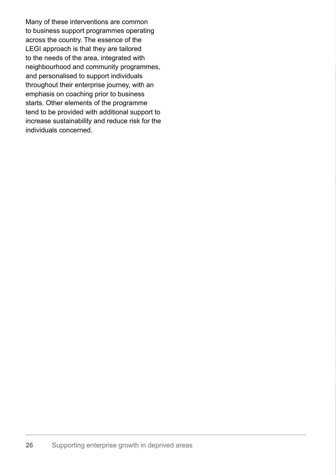Many of these interventions are common to business support programmes operating across the country. The essence of the LEGI approach is that they are tailored to the needs of the area, integrated with neighbourhood and community programmes, and personalised to support individuals throughout their enterprise journey, with an emphasis on coaching prior to business starts. Other elements of the programme tend to be provided with additional support to increase sustainability and reduce risk for the individuals concerned.